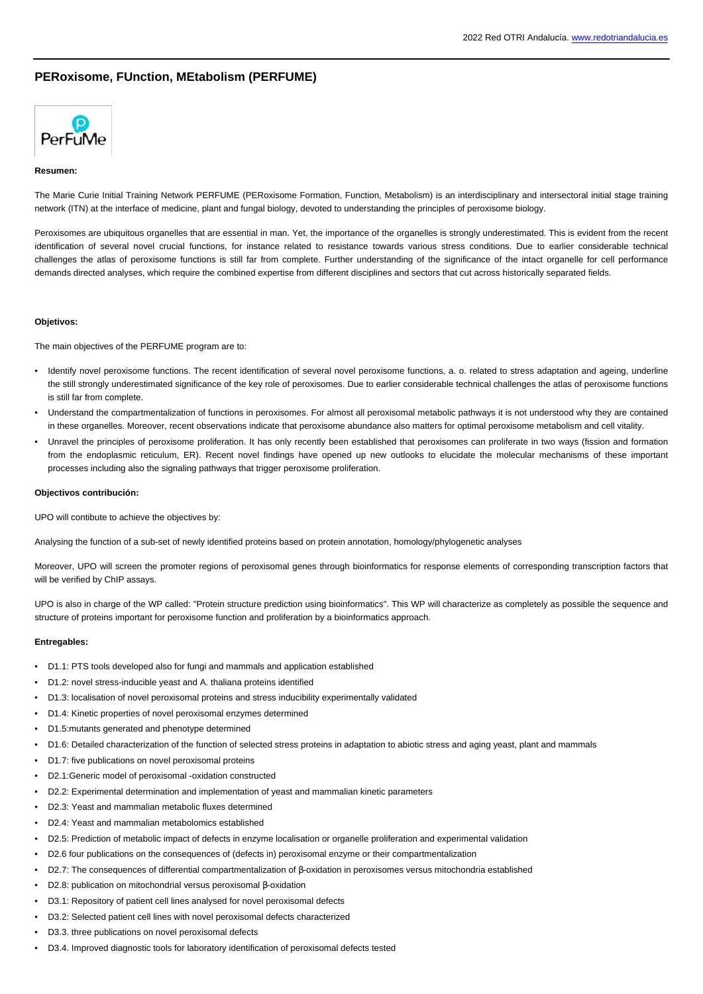# **PERoxisome, FUnction, MEtabolism (PERFUME)**



### **Resumen:**

The Marie Curie Initial Training Network PERFUME (PERoxisome Formation, Function, Metabolism) is an interdisciplinary and intersectoral initial stage training network (ITN) at the interface of medicine, plant and fungal biology, devoted to understanding the principles of peroxisome biology.

Peroxisomes are ubiquitous organelles that are essential in man. Yet, the importance of the organelles is strongly underestimated. This is evident from the recent identification of several novel crucial functions, for instance related to resistance towards various stress conditions. Due to earlier considerable technical challenges the atlas of peroxisome functions is still far from complete. Further understanding of the significance of the intact organelle for cell performance demands directed analyses, which require the combined expertise from different disciplines and sectors that cut across historically separated fields.

### **Objetivos:**

The main objectives of the PERFUME program are to:

- Identify novel peroxisome functions. The recent identification of several novel peroxisome functions, a. o. related to stress adaptation and ageing, underline the still strongly underestimated significance of the key role of peroxisomes. Due to earlier considerable technical challenges the atlas of peroxisome functions is still far from complete.
- Understand the compartmentalization of functions in peroxisomes. For almost all peroxisomal metabolic pathways it is not understood why they are contained in these organelles. Moreover, recent observations indicate that peroxisome abundance also matters for optimal peroxisome metabolism and cell vitality.
- Unravel the principles of peroxisome proliferation. It has only recently been established that peroxisomes can proliferate in two ways (fission and formation from the endoplasmic reticulum, ER). Recent novel findings have opened up new outlooks to elucidate the molecular mechanisms of these important processes including also the signaling pathways that trigger peroxisome proliferation.

#### **Objectivos contribución:**

UPO will contibute to achieve the objectives by:

Analysing the function of a sub-set of newly identified proteins based on protein annotation, homology/phylogenetic analyses

Moreover, UPO will screen the promoter regions of peroxisomal genes through bioinformatics for response elements of corresponding transcription factors that will be verified by ChIP assays.

UPO is also in charge of the WP called: "Protein structure prediction using bioinformatics". This WP will characterize as completely as possible the sequence and structure of proteins important for peroxisome function and proliferation by a bioinformatics approach.

## **Entregables:**

- D1.1: PTS tools developed also for fungi and mammals and application established
- D1.2: novel stress-inducible yeast and A. thaliana proteins identified
- D1.3: localisation of novel peroxisomal proteins and stress inducibility experimentally validated
- D1.4: Kinetic properties of novel peroxisomal enzymes determined
- D1.5:mutants generated and phenotype determined
- D1.6: Detailed characterization of the function of selected stress proteins in adaptation to abiotic stress and aging yeast, plant and mammals
- D1.7: five publications on novel peroxisomal proteins
- D2.1:Generic model of peroxisomal -oxidation constructed
- D2.2: Experimental determination and implementation of yeast and mammalian kinetic parameters
- D2.3: Yeast and mammalian metabolic fluxes determined
- D2.4: Yeast and mammalian metabolomics established
- D2.5: Prediction of metabolic impact of defects in enzyme localisation or organelle proliferation and experimental validation
- D2.6 four publications on the consequences of (defects in) peroxisomal enzyme or their compartmentalization
- D2.7: The consequences of differential compartmentalization of β-oxidation in peroxisomes versus mitochondria established
- D2.8: publication on mitochondrial versus peroxisomal β-oxidation
- D3.1: Repository of patient cell lines analysed for novel peroxisomal defects
- D3.2: Selected patient cell lines with novel peroxisomal defects characterized
- D3.3. three publications on novel peroxisomal defects
- D3.4. Improved diagnostic tools for laboratory identification of peroxisomal defects tested